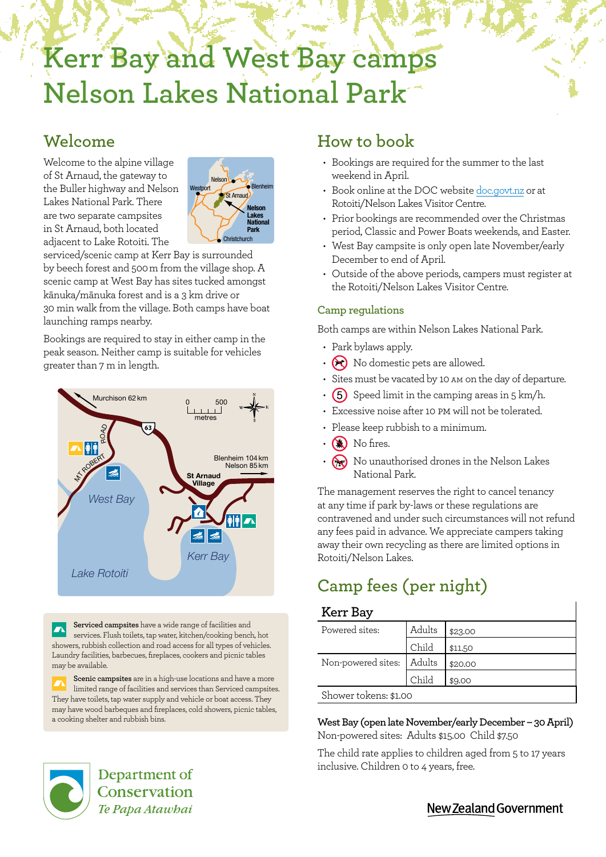# **Kerr Bay and West Bay camps Nelson Lakes National Park**

## **Welcome**

Welcome to the alpine village of St Arnaud, the gateway to the Buller highway and Nelson Lakes National Park. There are two separate campsites in St Arnaud, both located adjacent to Lake Rotoiti. The



serviced/scenic camp at Kerr Bay is surrounded by beech forest and 500 m from the village shop. A scenic camp at West Bay has sites tucked amongst kānuka/mānuka forest and is a 3 km drive or 30 min walk from the village. Both camps have boat launching ramps nearby.

Bookings are required to stay in either camp in the peak season. Neither camp is suitable for vehicles greater than 7 m in length.



**Serviced campsites** have a wide range of facilities and  $\overline{\phantom{a}}$ services. Flush toilets, tap water, kitchen/cooking bench, hot showers, rubbish collection and road access for all types of vehicles. Laundry facilities, barbecues, fireplaces, cookers and picnic tables may be available.

**Scenic campsites** are in a high-use locations and have a more limited range of facilities and services than Serviced campsites. They have toilets, tap water supply and vehicle or boat access. They may have wood barbeques and fireplaces, cold showers, picnic tables, a cooking shelter and rubbish bins.

## **How to book**

- Bookings are required for the summer to the last weekend in April.
- Book online at the DOC website [doc.govt.nz](http://www.doc.govt.nz) or at Rotoiti/Nelson Lakes Visitor Centre.
- Prior bookings are recommended over the Christmas period, Classic and Power Boats weekends, and Easter.
- West Bay campsite is only open late November/early December to end of April.
- Outside of the above periods, campers must register at the Rotoiti/Nelson Lakes Visitor Centre.

#### **Camp regulations**

Both camps are within Nelson Lakes National Park.

- Park bylaws apply.
- $\cdot$   $\odot$  No domestic pets are allowed.
- Sites must be vacated by 10 am on the day of departure.
- $(5)$  Speed limit in the camping areas in 5 km/h.
- Excessive noise after 10 pm will not be tolerated.
- Please keep rubbish to a minimum.
- $\cdot$  **N** No fires.
- $\bigotimes$  No unauthorised drones in the Nelson Lakes National Park.

The management reserves the right to cancel tenancy at any time if park by-laws or these regulations are contravened and under such circumstances will not refund any fees paid in advance. We appreciate campers taking away their own recycling as there are limited options in Rotoiti/Nelson Lakes.

# **Camp fees (per night)**

#### **Kerr Bay**

| Powered sites:        | Adults | \$23.00 |
|-----------------------|--------|---------|
|                       | Child  | \$11.50 |
| Non-powered sites:    | Adults | \$20.00 |
|                       | Child  | \$9.00  |
| Shower tokens: \$1.00 |        |         |

**West Bay (open late November/early December – 30 April)** Non-powered sites: Adults \$15.00 Child \$7.50

The child rate applies to children aged from 5 to 17 years inclusive. Children 0 to 4 years, free.



Department of Conservation Te Papa Atawbai

New Zealand Government